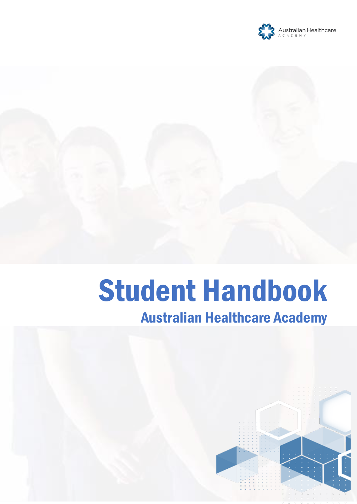

# Student Handbook

# Australian Healthcare Academy

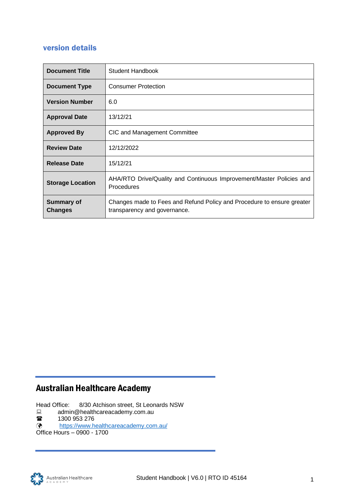# <span id="page-1-0"></span>version details

| <b>Document Title</b>               | Student Handbook                                                                                       |
|-------------------------------------|--------------------------------------------------------------------------------------------------------|
| <b>Document Type</b>                | <b>Consumer Protection</b>                                                                             |
| <b>Version Number</b>               | 6.0                                                                                                    |
| <b>Approval Date</b>                | 13/12/21                                                                                               |
| <b>Approved By</b>                  | CIC and Management Committee                                                                           |
| <b>Review Date</b>                  | 12/12/2022                                                                                             |
| <b>Release Date</b>                 | 15/12/21                                                                                               |
| <b>Storage Location</b>             | AHA/RTO Drive/Quality and Continuous Improvement/Master Policies and<br>Procedures                     |
| <b>Summary of</b><br><b>Changes</b> | Changes made to Fees and Refund Policy and Procedure to ensure greater<br>transparency and governance. |

# Australian Healthcare Academy

Head Office: 8/30 Atchison street, St Leonards NSW

- $\Box$  admin@healthcareacademy.com.au
- **■** 1300 953 276<br>◆ https://www.h

<https://www.healthcareacademy.com.au/>

Office Hours – 0900 - 1700

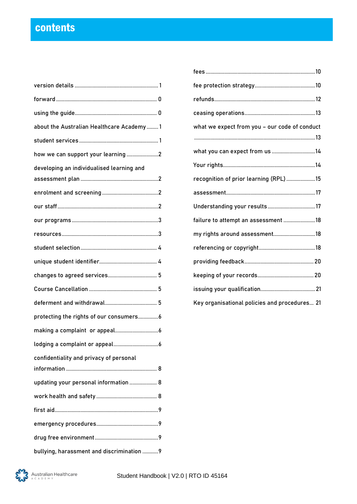# contents

| about the Australian Healthcare Academy 1  |  |
|--------------------------------------------|--|
|                                            |  |
| how we can support your learning2          |  |
| developing an individualised learning and  |  |
|                                            |  |
|                                            |  |
|                                            |  |
|                                            |  |
|                                            |  |
|                                            |  |
| changes to agreed services 5               |  |
|                                            |  |
|                                            |  |
| protecting the rights of our consumers6    |  |
|                                            |  |
|                                            |  |
| confidentiality and privacy of personal    |  |
|                                            |  |
| updating your personal information  8      |  |
|                                            |  |
|                                            |  |
|                                            |  |
|                                            |  |
| bullying, harassment and discrimination  9 |  |

| what we expect from you - our code of conduct |  |  |  |
|-----------------------------------------------|--|--|--|
| what you can expect from us 14                |  |  |  |
|                                               |  |  |  |
| recognition of prior learning (RPL) 15        |  |  |  |
|                                               |  |  |  |
| Understanding your results 17                 |  |  |  |
| failure to attempt an assessment 18           |  |  |  |
| my rights around assessment18                 |  |  |  |
|                                               |  |  |  |
|                                               |  |  |  |
|                                               |  |  |  |
|                                               |  |  |  |
| Key organisational policies and procedures 21 |  |  |  |

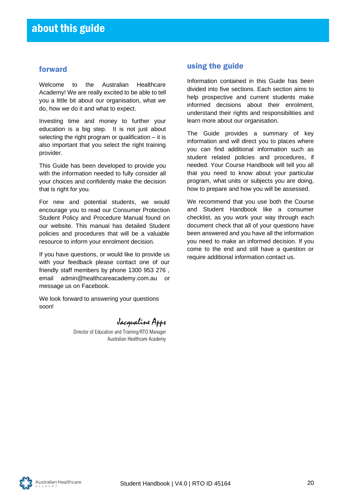# <span id="page-3-0"></span>forward

Welcome to the Australian Healthcare Academy! We are really excited to be able to tell you a little bit about our organisation, what we do, how we do it and what to expect.

Investing time and money to further your education is a big step. It is not just about selecting the right program or qualification – it is also important that you select the right training provider.

This Guide has been developed to provide you with the information needed to fully consider all your choices and confidently make the decision that is right for you.

For new and potential students, we would encourage you to read our Consumer Protection Student Policy and Procedure Manual found on our website. This manual has detailed Student policies and procedures that will be a valuable resource to inform your enrolment decision.

If you have questions, or would like to provide us with your feedback please contact one of our friendly staff members by phone 1300 953 276 , email [admin@healthcareacademy.com.au](mailto:admin@healthcareacademy.com.au) or message us on Facebook.

We look forward to answering your questions soon!

Jacqualine Apps

Director of Education and Training/RTO Manager Australian Healthcare Academy

# <span id="page-3-1"></span>using the guide

Information contained in this Guide has been divided into five sections. Each section aims to help prospective and current students make informed decisions about their enrolment, understand their rights and responsibilities and learn more about our organisation.

The Guide provides a summary of key information and will direct you to places where you can find additional information such as student related policies and procedures, if needed. Your Course Handbook will tell you all that you need to know about your particular program, what units or subjects you are doing, how to prepare and how you will be assessed.

We recommend that you use both the Course and Student Handbook like a consumer checklist, as you work your way through each document check that all of your questions have been answered and you have all the information you need to make an informed decision. If you come to the end and still have a question or require additional information contact us.

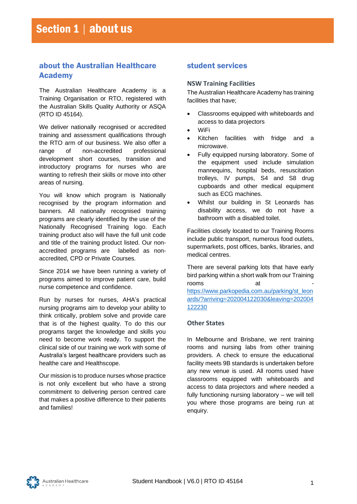# <span id="page-4-0"></span>about the Australian Healthcare Academy

The Australian Healthcare Academy is a Training Organisation or RTO, registered with the Australian Skills Quality Authority or ASQA (RTO ID 45164).

We deliver nationally recognised or accredited training and assessment qualifications through the RTO arm of our business. We also offer a range of non-accredited professional development short courses, transition and introductory programs for nurses who are wanting to refresh their skills or move into other areas of nursing.

You will know which program is Nationally recognised by the program information and banners. All nationally recognised training programs are clearly identified by the use of the Nationally Recognised Training logo. Each training product also will have the full unit code and title of the training product listed. Our nonaccredited programs are labelled as nonaccredited, CPD or Private Courses.

Since 2014 we have been running a variety of programs aimed to improve patient care, build nurse competence and confidence.

Run by nurses for nurses, AHA's practical nursing programs aim to develop your ability to think critically, problem solve and provide care that is of the highest quality. To do this our programs target the knowledge and skills you need to become work ready. To support the clinical side of our training we work with some of Australia's largest healthcare providers such as healthe care and Healthscope.

Our mission is to produce nurses whose practice is not only excellent but who have a strong commitment to delivering person centred care that makes a positive difference to their patients and families!

# <span id="page-4-1"></span>student services

#### **NSW Training Facilities**

The Australian Healthcare Academy has training facilities that have;

- Classrooms equipped with whiteboards and access to data projectors
- WiFi
- Kitchen facilities with fridge and a microwave.
- Fully equipped nursing laboratory. Some of the equipment used include simulation mannequins, hospital beds, resuscitation trolleys, IV pumps, S4 and S8 drug cupboards and other medical equipment such as ECG machines.
- Whilst our building in St Leonards has disability access, we do not have a bathroom with a disabled toilet.

Facilities closely located to our Training Rooms include public transport, numerous food outlets, supermarkets, post offices, banks, libraries, and medical centres.

There are several parking lots that have early bird parking within a short walk from our Training rooms at [https://www.parkopedia.com.au/parking/st\\_leon](https://www.parkopedia.com.au/parking/st_leonards/?arriving=202004122030&leaving=202004122230) [ards/?arriving=202004122030&leaving=202004](https://www.parkopedia.com.au/parking/st_leonards/?arriving=202004122030&leaving=202004122230) [122230](https://www.parkopedia.com.au/parking/st_leonards/?arriving=202004122030&leaving=202004122230)

#### **Other States**

In Melbourne and Brisbane, we rent training rooms and nursing labs from other training providers. A check to ensure the educational facility meets 9B standards is undertaken before any new venue is used. All rooms used have classrooms equipped with whiteboards and access to data projectors and where needed a fully functioning nursing laboratory – we will tell you where those programs are being run at enquiry.

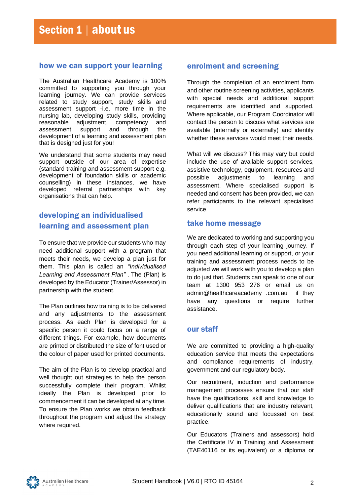#### <span id="page-5-0"></span>how we can support your learning

The Australian Healthcare Academy is 100% committed to supporting you through your learning journey. We can provide services related to study support, study skills and assessment support -i.e. more time in the nursing lab, developing study skills, providing reasonable adjustment, competency and assessment support and through the development of a learning and assessment plan that is designed just for you!

We understand that some students may need support outside of our area of expertise (standard training and assessment support e.g. development of foundation skills or academic counselling) in these instances, we have developed referral partnerships with key organisations that can help.

# <span id="page-5-1"></span>developing an individualised learning and assessment plan

To ensure that we provide our students who may need additional support with a program that meets their needs, we develop a plan just for them. This plan is called an *"Individualised Learning and Assessment Plan"* . The (Plan) is developed by the Educator (Trainer/Assessor) in partnership with the student.

The Plan outlines how training is to be delivered and any adjustments to the assessment process. As each Plan is developed for a specific person it could focus on a range of different things. For example, how documents are printed or distributed the size of font used or the colour of paper used for printed documents.

The aim of the Plan is to develop practical and well thought out strategies to help the person successfully complete their program. Whilst ideally the Plan is developed prior to commencement it can be developed at any time. To ensure the Plan works we obtain feedback throughout the program and adjust the strategy where required.

# <span id="page-5-2"></span>enrolment and screening

Through the completion of an enrolment form and other routine screening activities, applicants with special needs and additional support requirements are identified and supported. Where applicable, our Program Coordinator will contact the person to discuss what services are available (internally or externally) and identify whether these services would meet their needs.

What will we discuss? This may vary but could include the use of available support services, assistive technology, equipment, resources and possible adjustments to learning and assessment. Where specialised support is needed and consent has been provided, we can refer participants to the relevant specialised service.

## take home message

We are dedicated to working and supporting you through each step of your learning journey. If you need additional learning or support, or your training and assessment process needs to be adjusted we will work with you to develop a plan to do just that. Students can speak to one of our team at 1300 953 276 or email us on [admin@healthcareacademy .com.au](mailto:support@opportune.com.au) if they have any questions or require further assistance.

# <span id="page-5-3"></span>our staff

We are committed to providing a high-quality education service that meets the expectations and compliance requirements of industry, government and our regulatory body.

Our recruitment, induction and performance management processes ensure that our staff have the qualifications, skill and knowledge to deliver qualifications that are industry relevant, educationally sound and focussed on best practice.

Our Educators (Trainers and assessors) hold the Certificate IV in Training and Assessment (TAE40116 or its equivalent) or a diploma or

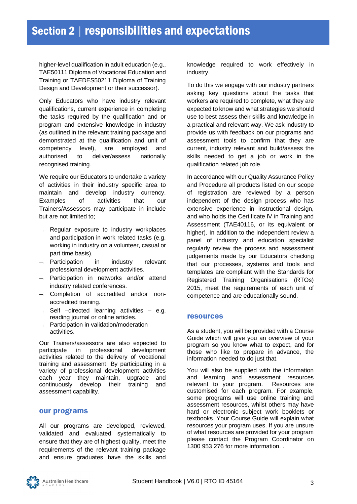higher-level qualification in adult education (e.g., TAE50111 Diploma of Vocational Education and Training or TAEDES50211 Diploma of Training Design and Development or their successor).

Only Educators who have industry relevant qualifications, current experience in completing the tasks required by the qualification and or program and extensive knowledge in industry (as outlined in the relevant training package and demonstrated at the qualification and unit of competency level), are employed and authorised to deliver/assess nationally recognised training.

We require our Educators to undertake a variety of activities in their industry specific area to maintain and develop industry currency. Examples of activities that our Trainers/Assessors may participate in include but are not limited to;

- $\lnot$  Regular exposure to industry workplaces and participation in work related tasks (e.g. working in industry on a volunteer, casual or part time basis).
- $\lnot$  Participation in industry relevant professional development activities.
- $\neg$  Participation in networks and/or attend industry related conferences.
- $\lnot$  Completion of accredited and/or nonaccredited training.
- $\lnot$  Self –directed learning activities e.g. reading journal or online articles.
- $\neg$  Participation in validation/moderation activities.

Our Trainers/assessors are also expected to participate in professional development activities related to the delivery of vocational training and assessment. By participating in a variety of professional development activities each year they maintain, upgrade and continuously develop their training and assessment capability.

#### <span id="page-6-0"></span>our programs

All our programs are developed, reviewed, validated and evaluated systematically to ensure that they are of highest quality, meet the requirements of the relevant training package and ensure graduates have the skills and knowledge required to work effectively in industry.

To do this we engage with our industry partners asking key questions about the tasks that workers are required to complete, what they are expected to know and what strategies we should use to best assess their skills and knowledge in a practical and relevant way. We ask industry to provide us with feedback on our programs and assessment tools to confirm that they are current, industry relevant and build/assess the skills needed to get a job or work in the qualification related job role.

In accordance with our Quality Assurance Policy and Procedure all products listed on our scope of registration are reviewed by a person independent of the design process who has extensive experience in instructional design, and who holds the Certificate lV in Training and Assessment (TAE40116, or its equivalent or higher). In addition to the independent review a panel of industry and education specialist regularly review the process and assessment judgements made by our Educators checking that our processes, systems and tools and templates are compliant with the Standards for Registered Training Organisations (RTOs) 2015, meet the requirements of each unit of competence and are educationally sound.

#### <span id="page-6-1"></span>resources

As a student, you will be provided with a Course Guide which will give you an overview of your program so you know what to expect, and for those who like to prepare in advance, the information needed to do just that.

You will also be supplied with the information and learning and assessment resources relevant to your program. Resources are customised for each program. For example, some programs will use online training and assessment resources, whilst others may have hard or electronic subject work booklets or textbooks. Your Course Guide will explain what resources your program uses. If you are unsure of what resources are provided for your program please contact the Program Coordinator on 1300 953 276 for more information. .

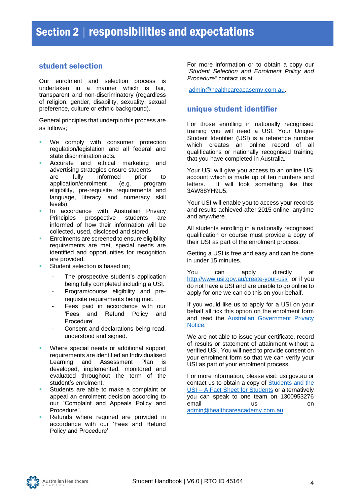# <span id="page-7-0"></span>student selection

Our enrolment and selection process is undertaken in a manner which is fair, transparent and non-discriminatory (regardless of religion, gender, disability, sexuality, sexual preference, culture or ethnic background).

General principles that underpin this process are as follows;

- We comply with consumer protection regulation/legislation and all federal and state discrimination acts.
- Accurate and ethical marketing and advertising strategies ensure students are fully informed prior to application/enrolment (e.g. program eligibility, pre-requisite requirements and language, literacy and numeracy skill levels).
- In accordance with Australian Privacy Principles prospective students are informed of how their information will be collected, used, disclosed and stored.
- Enrolments are screened to ensure eligibility requirements are met, special needs are identified and opportunities for recognition are provided.
- Student selection is based on;
	- The prospective student's application being fully completed including a USI.
	- Program/course eligibility and prerequisite requirements being met.
	- Fees paid in accordance with our 'Fees and Refund Policy and Procedure'
	- Consent and declarations being read, understood and signed.
- Where special needs or additional support requirements are identified an Individualised Learning and Assessment Plan is developed, implemented, monitored and evaluated throughout the term of the student's enrolment.
- Students are able to make a complaint or appeal an enrolment decision according to our "Complaint and Appeals Policy and Procedure".
- Refunds where required are provided in accordance with our 'Fees and Refund Policy and Procedure'.

For more information or to obtain a copy our *"Student Selection and Enrolment Policy and Procedure"* contact us at

[admin@healthcareacasemy.com.au.](mailto:admin@healthcareacasemy.com.au)

## <span id="page-7-1"></span>unique student identifier

For those enrolling in nationally recognised training you will need a USI. Your Unique Student Identifier (USI) is a reference number which creates an online record of all qualifications or nationally recognised training that you have completed in Australia.

Your USI will give you access to an online USI account which is made up of ten numbers and letters. It will look something like this: 3AW88YH9U5.

Your USI will enable you to access your records and results achieved after 2015 online, anytime and anywhere.

All students enrolling in a nationally recognised qualification or course must provide a copy of their USI as part of the enrolment process.

Getting a USI is free and easy and can be done in under 15 minutes.

You can apply directly at <http://www.usi.gov.au/create-your-usi/>or if you do not have a USI and are unable to go online to apply for one we can do this on your behalf.

If you would like us to apply for a USI on your behalf all tick this option on the enrolment form and read the [Australian Government Privacy](https://www.usi.gov.au/training-organisations/usi-support-materials/privacy-notice-students-when-applying-usi-their-0)  [Notice.](https://www.usi.gov.au/training-organisations/usi-support-materials/privacy-notice-students-when-applying-usi-their-0)

We are not able to issue your certificate, record of results or statement of attainment without a verified USI. You will need to provide consent on your enrolment form so that we can verify your USI as part of your enrolment process.

For more information, please visit: usi.gov.au or contact us to obtain a copy of [Students and the](https://www.usi.gov.au/documents/students-and-usi-factsheet-students)  USI – [A Fact Sheet for](https://www.usi.gov.au/documents/students-and-usi-factsheet-students) Students or alternatively you can speak to one team on 1300953276 email us us on [admin@healthcareacademy.com.au](mailto:admin@healthcareacademy.com.au)

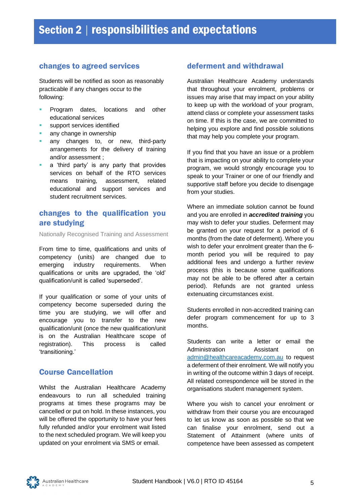# <span id="page-8-0"></span>changes to agreed services

Students will be notified as soon as reasonably practicable if any changes occur to the following:

- Program dates, locations and other educational services
- support services identified
- any change in ownership
- any changes to, or new, third-party arrangements for the delivery of training and/or assessment ;
- **E** a 'third party' is any party that provides services on behalf of the RTO services means training, assessment, related educational and support services and student recruitment services.

# changes to the qualification you are studying

Nationally Recognised Training and Assessment

From time to time, qualifications and units of competency (units) are changed due to emerging industry requirements. When qualifications or units are upgraded, the 'old' qualification/unit is called 'superseded'.

If your qualification or some of your units of competency become superseded during the time you are studying, we will offer and encourage you to transfer to the new qualification/unit (once the new qualification/unit is on the Australian Healthcare scope of registration). This process is called 'transitioning.'

# <span id="page-8-1"></span>Course Cancellation

Whilst the Australian Healthcare Academy endeavours to run all scheduled training programs at times these programs may be cancelled or put on hold. In these instances, you will be offered the opportunity to have your fees fully refunded and/or your enrolment wait listed to the next scheduled program. We will keep you updated on your enrolment via SMS or email.

# <span id="page-8-2"></span>deferment and withdrawal

Australian Healthcare Academy understands that throughout your enrolment, problems or issues may arise that may impact on your ability to keep up with the workload of your program, attend class or complete your assessment tasks on time. If this is the case, we are committed to helping you explore and find possible solutions that may help you complete your program.

If you find that you have an issue or a problem that is impacting on your ability to complete your program, we would strongly encourage you to speak to your Trainer or one of our friendly and supportive staff before you decide to disengage from your studies.

Where an immediate solution cannot be found and you are enrolled in *accredited training* you may wish to defer your studies. Deferment may be granted on your request for a period of 6 months (from the date of deferment). Where you wish to defer your enrolment greater than the 6 month period you will be required to pay additional fees and undergo a further review process (this is because some qualifications may not be able to be offered after a certain period). Refunds are not granted unless extenuating circumstances exist.

Students enrolled in non-accredited training can defer program commencement for up to 3 months.

Students can write a letter or email the Administration Assistant on [admin@healthcareacademy.com.au](mailto:admin@healthcareacademy.com.au) to request a deferment of their enrolment. We will notify you in writing of the outcome within 3 days of receipt. All related correspondence will be stored in the organisations student management system.

Where you wish to cancel your enrolment or withdraw from their course you are encouraged to let us know as soon as possible so that we can finalise your enrolment, send out a Statement of Attainment (where units of competence have been assessed as competent

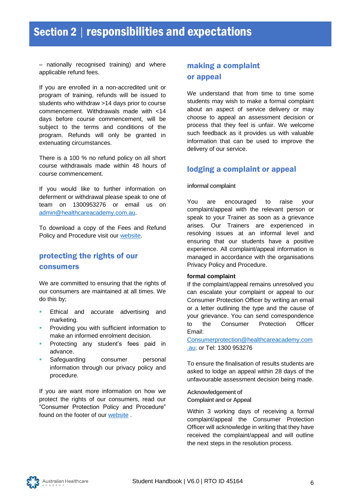– nationally recognised training) and where applicable refund fees.

If you are enrolled in a non-accredited unit or program of training, refunds will be issued to students who withdraw >14 days prior to course commencement. Withdrawals made with <14 days before course commencement, will be subject to the terms and conditions of the program. Refunds will only be granted in extenuating circumstances.

There is a 100 % no refund policy on all short course withdrawals made within 48 hours of course commencement.

If you would like to further information on deferment or withdrawal please speak to one of team on 1300953276 or email us on [admin@healthcareacademy.com.au.](mailto:admin@healthcareacademy.com.au)

To download a copy of the Fees and Refund Policy and Procedure visit our [website.](http://www.healthcareacademy.com.au/)

# <span id="page-9-0"></span>protecting the rights of our consumers

We are committed to ensuring that the rights of our consumers are maintained at all times. We do this by;

- **Ethical and accurate advertising and** marketing.
- **Providing you with sufficient information to** make an informed enrolment decision.
- Protecting any student's fees paid in advance.
- Safeguarding consumer personal information through our privacy policy and procedure.

If you are want more information on how we protect the rights of our consumers, read our "Consumer Protection Policy and Procedure" found on the footer of our [website](http://www.healthcareacademy.com.au/) .

# <span id="page-9-1"></span>making a complaint or appeal

We understand that from time to time some students may wish to make a formal complaint about an aspect of service delivery or may choose to appeal an assessment decision or process that they feel is unfair. We welcome such feedback as it provides us with valuable information that can be used to improve the delivery of our service.

# <span id="page-9-2"></span>lodging a complaint or appeal

#### **informal complaint**

You are encouraged to raise your complaint/appeal with the relevant person or speak to your Trainer as soon as a grievance arises. Our Trainers are experienced in resolving issues at an informal level and ensuring that our students have a positive experience. All complaint/appeal information is managed in accordance with the organisations Privacy Policy and Procedure.

#### **formal complaint**

If the complaint/appeal remains unresolved you can escalate your complaint or appeal to our Consumer Protection Officer by writing an email or a letter outlining the type and the cause of your grievance. You can send correspondence to the Consumer Protection Officer Email:

[Consumerprotection@healthcareacademy.com](mailto:Consumerprotection@healthcareacademy.com.au) [.au;](mailto:Consumerprotection@healthcareacademy.com.au) or Tel: 1300 953276

To ensure the finalisation of results students are asked to lodge an appeal within 28 days of the unfavourable assessment decision being made.

**Acknowledgement of Complaint and or Appeal**

Within 3 working days of receiving a formal complaint/appeal the Consumer Protection Officer will acknowledge in writing that they have received the complaint/appeal and will outline the next steps in the resolution process.

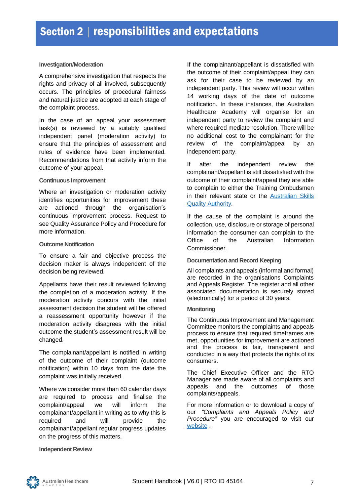#### **Investigation/Moderation**

A comprehensive investigation that respects the rights and privacy of all involved, subsequently occurs. The principles of procedural fairness and natural justice are adopted at each stage of the complaint process.

In the case of an appeal your assessment task(s) is reviewed by a suitably qualified independent panel (moderation activity) to ensure that the principles of assessment and rules of evidence have been implemented. Recommendations from that activity inform the outcome of your appeal.

#### **Continuous Improvement**

Where an investigation or moderation activity identifies opportunities for improvement these are actioned through the organisation's continuous improvement process. Request to see Quality Assurance Policy and Procedure for more information.

#### **Outcome Notification**

To ensure a fair and objective process the decision maker is always independent of the decision being reviewed.

Appellants have their result reviewed following the completion of a moderation activity. If the moderation activity concurs with the initial assessment decision the student will be offered a reassessment opportunity however if the moderation activity disagrees with the initial outcome the student's assessment result will be changed.

The complainant/appellant is notified in writing of the outcome of their complaint (outcome notification) within 10 days from the date the complaint was initially received.

Where we consider more than 60 calendar days are required to process and finalise the complaint/appeal we will inform the complainant/appellant in writing as to why this is required and will provide the complainant/appellant regular progress updates on the progress of this matters.

If the complainant/appellant is dissatisfied with the outcome of their complaint/appeal they can ask for their case to be reviewed by an independent party. This review will occur within 14 working days of the date of outcome notification. In these instances, the Australian Healthcare Academy will organise for an independent party to review the complaint and where required mediate resolution. There will be no additional cost to the complainant for the review of the complaint/appeal by an independent party.

If after the independent review the complainant/appellant is still dissatisfied with the outcome of their complaint/appeal they are able to complain to either the Training Ombudsmen in their relevant state or the [Australian Skills](https://www.asqa.gov.au/)  [Quality Authority.](https://www.asqa.gov.au/)

If the cause of the complaint is around the collection, use, disclosure or storage of personal information the consumer can complain to th[e](http://www.oaic.gov.au/) [Office of the Australian Information](http://www.oaic.gov.au/)  [Commissioner.](http://www.oaic.gov.au/)

#### **Documentation and Record Keeping**

All complaints and appeals (informal and formal) are recorded in the organisations Complaints and Appeals Register. The register and all other associated documentation is securely stored (electronically) for a period of 30 years.

#### **Monitoring**

The Continuous Improvement and Management Committee monitors the complaints and appeals process to ensure that required timeframes are met, opportunities for improvement are actioned and the process is fair, transparent and conducted in a way that protects the rights of its consumers.

The Chief Executive Officer and the RTO Manager are made aware of all complaints and appeals and the outcomes of those complaints/appeals.

For more information or to download a copy of our *"Complaints and Appeals Policy and Procedure"* you are encouraged to visit our [website](http://www.opportune.com.au/) .

#### **Independent Review**

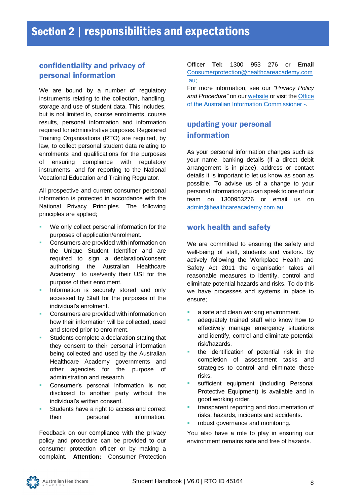# <span id="page-11-0"></span>confidentiality and privacy of personal information

We are bound by a number of regulatory instruments relating to the collection, handling, storage and use of student data. This includes, but is not limited to, course enrolments, course results, personal information and information required for administrative purposes. Registered Training Organisations (RTO) are required, by law, to collect personal student data relating to enrolments and qualifications for the purposes of ensuring compliance with regulatory instruments; and for reporting to the National Vocational Education and Training Regulator.

All prospective and current consumer personal information is protected in accordance with the National Privacy Principles. The following principles are applied;

- We only collect personal information for the purposes of application/enrolment.
- Consumers are provided with information on the Unique Student Identifier and are required to sign a declaration/consent authorising the Australian Healthcare Academy to use/verify their USI for the purpose of their enrolment.
- **·** Information is securely stored and only accessed by Staff for the purposes of the individual's enrolment.
- Consumers are provided with information on how their information will be collected, used and stored prior to enrolment.
- **EXECUTE:** Students complete a declaration stating that they consent to their personal information being collected and used by the Australian Healthcare Academy governments and other agencies for the purpose of administration and research.
- Consumer's personal information is not disclosed to another party without the individual's written consent.
- Students have a right to access and correct their personal information.

Feedback on our compliance with the privacy policy and procedure can be provided to our consumer protection officer or by making a complaint. **Attention:** Consumer Protection

#### Officer **Tel:** 1300 953 276 or **Email**  [Consumerprotection@healthcareacademy.com](mailto:Consumerprotection@healthcareacademy.com.au) [.au;](mailto:Consumerprotection@healthcareacademy.com.au)

For more information, see our *"Privacy Policy and Procedure"* on ou[r website](http://www.healthcareacademy.com.au/) or visit th[e Office](http://www.privacy.gov.au/)  [of the Australian Information Commissioner -.](http://www.privacy.gov.au/)

# <span id="page-11-1"></span>updating your personal information

As your personal information changes such as your name, banking details (if a direct debit arrangement is in place), address or contact details it is important to let us know as soon as possible. To advise us of a change to your personal information you can speak to one of our team on 1300953276 or email us on [admin@healthcareacademy.com.au](mailto:admin@healthcareacademy.com.au)

# <span id="page-11-2"></span>work health and safety

We are committed to ensuring the safety and well-being of staff, students and visitors. By actively following the Workplace Health and Safety Act 2011 the organisation takes all reasonable measures to identify, control and eliminate potential hazards and risks. To do this we have processes and systems in place to ensure;

- a safe and clean working environment.
- adequately trained staff who know how to effectively manage emergency situations and identify, control and eliminate potential risk/hazards.
- the identification of potential risk in the completion of assessment tasks and strategies to control and eliminate these risks.
- sufficient equipment (including Personal Protective Equipment) is available and in good working order.
- **EXECUTE:** transparent reporting and documentation of risks, hazards, incidents and accidents.
- robust governance and monitoring.

You also have a role to play in ensuring our environment remains safe and free of hazards.

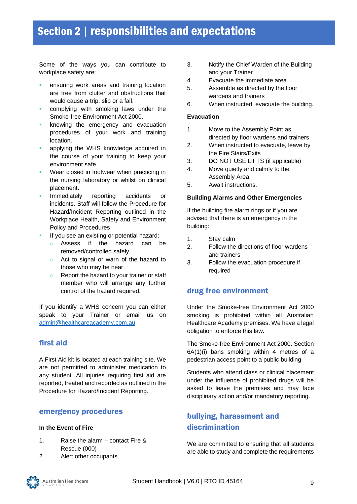Some of the ways you can contribute to workplace safety are:

- **E** ensuring work areas and training location are free from clutter and obstructions that would cause a trip, slip or a fall.
- complying with smoking laws under the Smoke-free Environment Act 2000.
- knowing the emergency and evacuation procedures of your work and training location.
- applying the WHS knowledge acquired in the course of your training to keep your environment safe.
- Wear closed in footwear when practicing in the nursing laboratory or whilst on clinical placement.
- Immediately reporting accidents or incidents. Staff will follow the Procedure for Hazard/Incident Reporting outlined in the Workplace Health, Safety and Environment Policy and Procedures
- If you see an existing or potential hazard;
	- o Assess if the hazard can be removed/controlled safely.
	- o Act to signal or warn of the hazard to those who may be near.
	- o Report the hazard to your trainer or staff member who will arrange any further control of the hazard required.

If you identify a WHS concern you can either speak to your Trainer or email us on [admin@healthcareacademy.com.au](mailto:admin@healthcareacademy.com.au)

# <span id="page-12-0"></span>first aid

A First Aid kit is located at each training site. We are not permitted to administer medication to any student. All injuries requiring first aid are reported, treated and recorded as outlined in the Procedure for Hazard/Incident Reporting.

# <span id="page-12-1"></span>emergency procedures

#### **In the Event of Fire**

- 1. Raise the alarm contact Fire & Rescue (000)
- 2. Alert other occupants
- 3. Notify the Chief Warden of the Building and your Trainer
- 4. Evacuate the immediate area
- 5. Assemble as directed by the floor wardens and trainers
- 6. When instructed, evacuate the building.

#### **Evacuation**

- 1. Move to the Assembly Point as directed by floor wardens and trainers
- 2. When instructed to evacuate, leave by the Fire Stairs/Exits
- 3. DO NOT USE LIFTS (if applicable)
- 4. Move quietly and calmly to the Assembly Area
- 5. Await instructions.

#### **Building Alarms and Other Emergencies**

If the building fire alarm rings or if you are advised that there is an emergency in the building:

- 1. Stay calm
- 2. Follow the directions of floor wardens and trainers
- 3. Follow the evacuation procedure if required

# <span id="page-12-2"></span>drug free environment

Under the Smoke-free Environment Act 2000 smoking is prohibited within all Australian Healthcare Academy premises. We have a legal obligation to enforce this law.

The Smoke-free Environment Act 2000. Section 6A(1)(i) bans smoking within 4 metres of a pedestrian access point to a public building

Students who attend class or clinical placement under the influence of prohibited drugs will be asked to leave the premises and may face disciplinary action and/or mandatory reporting.

# <span id="page-12-3"></span>bullying, harassment and discrimination

We are committed to ensuring that all students are able to study and complete the requirements

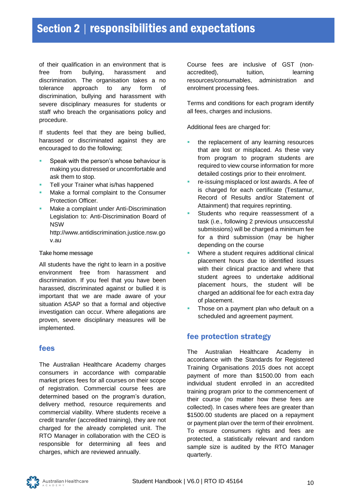of their qualification in an environment that is free from bullying, harassment and discrimination. The organisation takes a no tolerance approach to any form of discrimination, bullying and harassment with severe disciplinary measures for students or staff who breach the organisations policy and procedure.

If students feel that they are being bullied, harassed or discriminated against they are encouraged to do the following;

- Speak with the person's whose behaviour is making you distressed or uncomfortable and ask them to stop.
- Tell your Trainer what is/has happened
- Make a formal complaint to the Consumer Protection Officer.
- Make a complaint under Anti-Discrimination Legislation to: Anti-Discrimination Board of NSW

http://www.antidiscrimination.justice.nsw.go v.au

#### **Take home message**

All students have the right to learn in a positive environment free from harassment and discrimination. If you feel that you have been harassed, discriminated against or bullied it is important that we are made aware of your situation ASAP so that a formal and objective investigation can occur. Where allegations are proven, severe disciplinary measures will be implemented.

# <span id="page-13-0"></span>fees

The Australian Healthcare Academy charges consumers in accordance with comparable market prices fees for all courses on their scope of registration. Commercial course fees are determined based on the program's duration, delivery method, resource requirements and commercial viability. Where students receive a credit transfer (accredited training), they are not charged for the already completed unit. The RTO Manager in collaboration with the CEO is responsible for determining all fees and charges, which are reviewed annually.

Course fees are inclusive of GST (nonaccredited), tuition, learning resources/consumables, administration and enrolment processing fees.

Terms and conditions for each program identify all fees, charges and inclusions.

Additional fees are charged for:

- the replacement of any learning resources that are lost or misplaced. As these vary from program to program students are required to view course information for more detailed costings prior to their enrolment.
- re-issuing misplaced or lost awards. A fee of is charged for each certificate (Testamur, Record of Results and/or Statement of Attainment) that requires reprinting.
- Students who require reassessment of a task (i.e., following 2 previous unsuccessful submissions) will be charged a minimum fee for a third submission (may be higher depending on the course
- Where a student requires additional clinical placement hours due to identified issues with their clinical practice and where that student agrees to undertake additional placement hours, the student will be charged an additional fee for each extra day of placement.
- Those on a payment plan who default on a scheduled and agreement payment.

# <span id="page-13-1"></span>fee protection strategy

The Australian Healthcare Academy in accordance with the Standards for Registered Training Organisations 2015 does not accept payment of more than \$1500.00 from each individual student enrolled in an accredited training program prior to the commencement of their course (no matter how these fees are collected). In cases where fees are greater than \$1500.00 students are placed on a repayment or payment plan over the term of their enrolment. To ensure consumers rights and fees are protected, a statistically relevant and random sample size is audited by the RTO Manager quarterly.

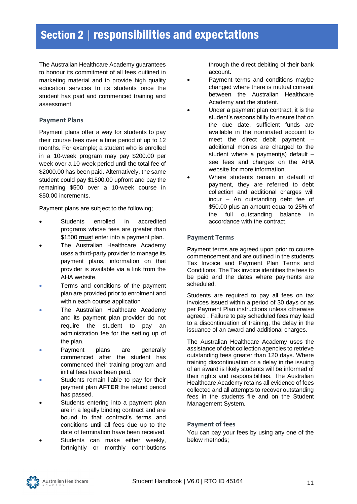The Australian Healthcare Academy guarantees to honour its commitment of all fees outlined in marketing material and to provide high quality education services to its students once the student has paid and commenced training and assessment.

## **Payment Plans**

Payment plans offer a way for students to pay their course fees over a time period of up to 12 months. For example; a student who is enrolled in a 10-week program may pay \$200.00 per week over a 10-week period until the total fee of \$2000.00 has been paid. Alternatively, the same student could pay \$1500.00 upfront and pay the remaining \$500 over a 10-week course in \$50.00 increments.

Payment plans are subject to the following;

- Students enrolled in accredited programs whose fees are greater than \$1500 **mus**t enter into a payment plan.
- The Australian Healthcare Academy uses a third-party provider to manage its payment plans, information on that provider is available via a link from the AHA website.
- Terms and conditions of the payment plan are provided prior to enrolment and within each course application
- The Australian Healthcare Academy and its payment plan provider do not require the student to pay an administration fee for the setting up of the plan.
- Payment plans are generally commenced after the student has commenced their training program and initial fees have been paid.
- Students remain liable to pay for their payment plan **AFTER** the refund period has passed.
- Students entering into a payment plan are in a legally binding contract and are bound to that contract's terms and conditions until all fees due up to the date of termination have been received.
- Students can make either weekly, fortnightly or monthly contributions

through the direct debiting of their bank account.

- Payment terms and conditions maybe changed where there is mutual consent between the Australian Healthcare Academy and the student.
- Under a payment plan contract, it is the student's responsibility to ensure that on the due date, sufficient funds are available in the nominated account to meet the direct debit payment – additional monies are charged to the student where a payment(s) default – see fees and charges on the AHA website for more information.
- Where students remain in default of payment, they are referred to debt collection and additional charges will incur – An outstanding debt fee of \$50.00 plus an amount equal to 25% of the full outstanding balance in accordance with the contract.

## **Payment Terms**

Payment terms are agreed upon prior to course commencement and are outlined in the students Tax Invoice and Payment Plan Terms and Conditions. The Tax invoice identifies the fees to be paid and the dates where payments are scheduled.

Students are required to pay all fees on tax invoices issued within a period of 30 days or as per Payment Plan instructions unless otherwise agreed . Failure to pay scheduled fees may lead to a discontinuation of training, the delay in the issuance of an award and additional charges.

The Australian Healthcare Academy uses the assistance of debt collection agencies to retrieve outstanding fees greater than 120 days. Where training discontinuation or a delay in the issuing of an award is likely students will be informed of their rights and responsibilities. The Australian Healthcare Academy retains all evidence of fees collected and all attempts to recover outstanding fees in the students file and on the Student Management System.

# **Payment of fees**

You can pay your fees by using any one of the below methods;

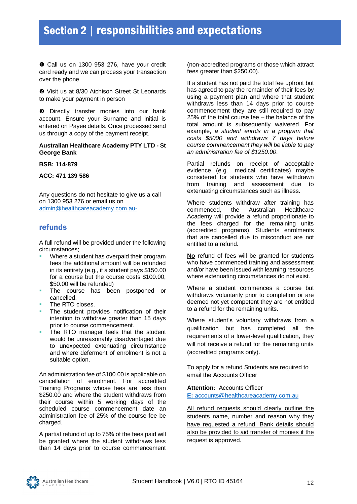Call us on 1300 953 276, have your credit card ready and we can process your transaction over the phone

 $\odot$  Visit us at 8/30 Atchison Street St Leonards to make your payment in person

 $\bullet$  Directly transfer monies into our bank account. Ensure your Surname and initial is entered on Payee details. Once processed send us through a copy of the payment receipt.

#### **Australian Healthcare Academy PTY LTD - St George Bank**

**BSB: 114-879**

#### **ACC: 471 139 586**

Any questions do not hesitate to give us a call on 1300 953 276 or email us on [admin@healthcareacademy.com.au-](mailto:admin@healthcareacademy.com.au-)

## <span id="page-15-0"></span>refunds

A full refund will be provided under the following circumstances;

- Where a student has overpaid their program fees the additional amount will be refunded in its entirety (e.g., if a student pays \$150.00 for a course but the course costs \$100.00, \$50.00 will be refunded)
- The course has been postponed or cancelled.
- The RTO closes.
- The student provides notification of their intention to withdraw greater than 15 days prior to course commencement.
- The RTO manager feels that the student would be unreasonably disadvantaged due to unexpected extenuating circumstance and where deferment of enrolment is not a suitable option.

An administration fee of \$100.00 is applicable on cancellation of enrolment. For accredited Training Programs whose fees are less than \$250.00 and where the student withdraws from their course within 5 working days of the scheduled course commencement date an administration fee of 25% of the course fee be charged.

A partial refund of up to 75% of the fees paid will be granted where the student withdraws less than 14 days prior to course commencement

(non-accredited programs or those which attract fees greater than \$250.00).

If a student has not paid the total fee upfront but has agreed to pay the remainder of their fees by using a payment plan and where that student withdraws less than 14 days prior to course commencement they are still required to pay 25% of the total course fee – the balance of the total amount is subsequently waivered. For example, *a student enrols in a program that costs \$5000 and withdraws 7 days before course commencement they will be liable to pay an administration fee of \$1250.00*.

Partial refunds on receipt of acceptable evidence (e.g., medical certificates) maybe considered for students who have withdrawn from training and assessment due to extenuating circumstances such as illness.

Where students withdraw after training has commenced, the Australian Healthcare Academy will provide a refund proportionate to the fees charged for the remaining units (accredited programs). Students enrolments that are cancelled due to misconduct are not entitled to a refund.

**No** refund of fees will be granted for students who have commenced training and assessment and/or have been issued with learning resources where extenuating circumstances do not exist.

Where a student commences a course but withdraws voluntarily prior to completion or are deemed not yet competent they are not entitled to a refund for the remaining units.

Where student's voluntary withdraws from a qualification but has completed all the requirements of a lower-level qualification, they will not receive a refund for the remaining units (accredited programs only).

To apply for a refund Students are required to email the Accounts Officer

#### **Attention:** Accounts Officer **E:** accounts@healthcareacademy.com.au

All refund requests should clearly outline the students name, number and reason why they have requested a refund. Bank details should also be provided to aid transfer of monies if the request is approved.

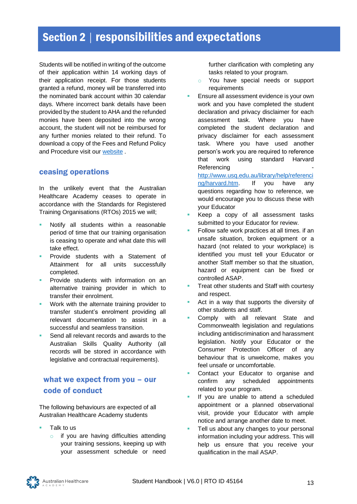Students will be notified in writing of the outcome of their application within 14 working days of their application receipt. For those students granted a refund, money will be transferred into the nominated bank account within 30 calendar days. Where incorrect bank details have been provided by the student to AHA and the refunded monies have been deposited into the wrong account, the student will not be reimbursed for any further monies related to their refund. To download a copy of the Fees and Refund Policy and Procedure visit our [website](http://www.healthcareacademy.com.au/) .

# <span id="page-16-0"></span>ceasing operations

In the unlikely event that the Australian Healthcare Academy ceases to operate in accordance with the Standards for Registered Training Organisations (RTOs) 2015 we will;

- Notify all students within a reasonable period of time that our training organisation is ceasing to operate and what date this will take effect.
- Provide students with a Statement of Attainment for all units successfully completed.
- Provide students with information on an alternative training provider in which to transfer their enrolment.
- Work with the alternate training provider to transfer student's enrolment providing all relevant documentation to assist in a successful and seamless transition.
- Send all relevant records and awards to the Australian Skills Quality Authority (all records will be stored in accordance with legislative and contractual requirements).

# <span id="page-16-1"></span>what we expect from you – our code of conduct

The following behaviours are expected of all Australian Healthcare Academy students

- Talk to us
	- o if you are having difficulties attending your training sessions, keeping up with your assessment schedule or need

further clarification with completing any tasks related to your program.

- o You have special needs or support requirements
- Ensure all assessment evidence is your own work and you have completed the student declaration and privacy disclaimer for each assessment task. Where you have completed the student declaration and privacy disclaimer for each assessment task. Where you have used another person's work you are required to reference that work using standard Harvard Referencing [http://www.usq.edu.au/library/help/referenci](http://www.usq.edu.au/library/help/referencing/harvard.htm)

[ng/harvard.htm.](http://www.usq.edu.au/library/help/referencing/harvard.htm) If you have any questions regarding how to reference, we would encourage you to discuss these with your Educator

- Keep a copy of all assessment tasks submitted to your Educator for review.
- Follow safe work practices at all times. if an unsafe situation, broken equipment or a hazard (not related to your workplace) is identified you must tell your Educator or another Staff member so that the situation, hazard or equipment can be fixed or controlled ASAP.
- Treat other students and Staff with courtesy and respect.
- Act in a way that supports the diversity of other students and staff.
- Comply with all relevant State and Commonwealth legislation and regulations including antidiscrimination and harassment legislation. Notify your Educator or the Consumer Protection Officer of any behaviour that is unwelcome, makes you feel unsafe or uncomfortable.
- Contact your Educator to organise and confirm any scheduled appointments related to your program.
- If you are unable to attend a scheduled appointment or a planned observational visit, provide your Educator with ample notice and arrange another date to meet.
- Tell us about any changes to your personal information including your address. This will help us ensure that you receive your qualification in the mail ASAP.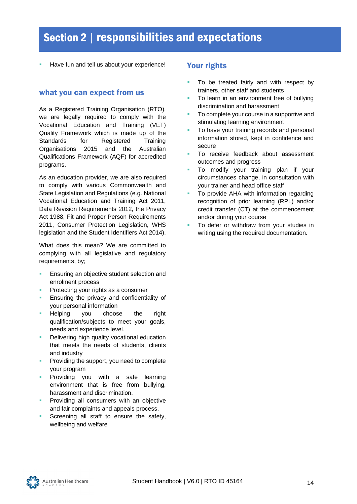Have fun and tell us about your experience!

#### <span id="page-17-0"></span>what you can expect from us

As a Registered Training Organisation (RTO), we are legally required to comply with the Vocational Education and Training (VET) Quality Framework which is made up of the Standards for Registered Training Organisations 2015 and the Australian Qualifications Framework (AQF) for accredited programs.

As an education provider, we are also required to comply with various Commonwealth and State Legislation and Regulations (e.g. National Vocational Education and Training Act 2011, Data Revision Requirements 2012, the Privacy Act 1988, Fit and Proper Person Requirements 2011, Consumer Protection Legislation, WHS legislation and the Student Identifiers Act 2014).

What does this mean? We are committed to complying with all legislative and regulatory requirements, by;

- Ensuring an objective student selection and enrolment process
- Protecting your rights as a consumer
- Ensuring the privacy and confidentiality of your personal information
- Helping you choose the right qualification/subjects to meet your goals, needs and experience level.
- Delivering high quality vocational education that meets the needs of students, clients and industry
- Providing the support, you need to complete your program
- **Providing you with a safe learning** environment that is free from bullying, harassment and discrimination.
- Providing all consumers with an objective and fair complaints and appeals process.
- Screening all staff to ensure the safety, wellbeing and welfare

# <span id="page-17-1"></span>Your rights

- To be treated fairly and with respect by trainers, other staff and students
- To learn in an environment free of bullying discrimination and harassment
- To complete your course in a supportive and stimulating learning environment
- To have your training records and personal information stored, kept in confidence and secure
- To receive feedback about assessment outcomes and progress
- To modify your training plan if your circumstances change, in consultation with your trainer and head office staff
- To provide AHA with information regarding recognition of prior learning (RPL) and/or credit transfer (CT) at the commencement and/or during your course
- To defer or withdraw from your studies in writing using the required documentation.

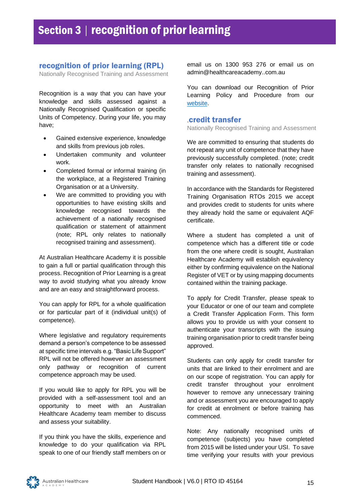# <span id="page-18-0"></span>recognition of prior learning (RPL)

Nationally Recognised Training and Assessment

Recognition is a way that you can have your knowledge and skills assessed against a Nationally Recognised Qualification or specific Units of Competency. During your life, you may have;

- Gained extensive experience, knowledge and skills from previous job roles.
- Undertaken community and volunteer work.
- Completed formal or informal training (in the workplace, at a Registered Training Organisation or at a University.
- We are committed to providing you with opportunities to have existing skills and knowledge recognised towards the achievement of a nationally recognised qualification or statement of attainment (note; RPL only relates to nationally recognised training and assessment).

At Australian Healthcare Academy it is possible to gain a full or partial qualification through this process. Recognition of Prior Learning is a great way to avoid studying what you already know and are an easy and straightforward process.

You can apply for RPL for a whole qualification or for particular part of it (individual unit(s) of competence).

Where legislative and regulatory requirements demand a person's competence to be assessed at specific time intervals e.g. "Basic Life Support" RPL will not be offered however an assessment only pathway or recognition of current competence approach may be used.

If you would like to apply for RPL you will be provided with a self-assessment tool and an opportunity to meet with an Australian Healthcare Academy team member to discuss and assess your suitability.

If you think you have the skills, experience and knowledge to do your qualification via RPL speak to one of our friendly staff members on or email us on 1300 953 276 or email us on [admin@healthcareacademy..com.au](mailto:info@opportune.com.au)

You can download our Recognition of Prior Learning Policy and Procedure from our [website.](http://www.healthcareacademy.com.au/)

#### .credit transfer

Nationally Recognised Training and Assessment

We are committed to ensuring that students do not repeat any unit of competence that they have previously successfully completed. (note; credit transfer only relates to nationally recognised training and assessment).

In accordance with the Standards for Registered Training Organisation RTOs 2015 we accept and provides credit to students for units where they already hold the same or equivalent AQF certificate.

Where a student has completed a unit of competence which has a different title or code from the one where credit is sought, Australian Healthcare Academy will establish equivalency either by confirming equivalence on the National Register of VET or by using mapping documents contained within the training package.

To apply for Credit Transfer, please speak to your Educator or one of our team and complete a Credit Transfer Application Form. This form allows you to provide us with your consent to authenticate your transcripts with the issuing training organisation prior to credit transfer being approved.

Students can only apply for credit transfer for units that are linked to their enrolment and are on our scope of registration. You can apply for credit transfer throughout your enrolment however to remove any unnecessary training and or assessment you are encouraged to apply for credit at enrolment or before training has commenced.

Note: Any nationally recognised units of competence (subjects) you have completed from 2015 will be listed under your USI. To save time verifying your results with your previous

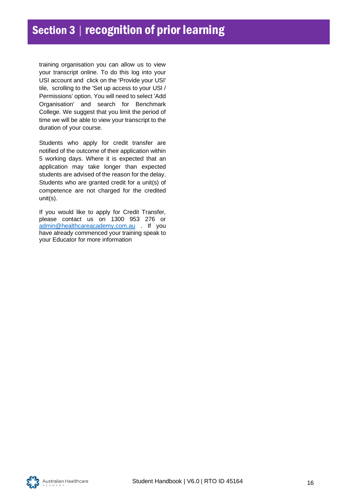training organisation you can allow us to view your transcript online. To do this log into your USI account and click on the 'Provide your USI' tile, scrolling to the 'Set up access to your USI / Permissions' option. You will need to select 'Add Organisation' and search for Benchmark College. We suggest that you limit the period of time we will be able to view your transcript to the duration of your course.

Students who apply for credit transfer are notified of the outcome of their application within 5 working days. Where it is expected that an application may take longer than expected students are advised of the reason for the delay. Students who are granted credit for a unit(s) of competence are not charged for the credited unit(s).

If you would like to apply for Credit Transfer, please contact us on 1300 953 276 or [admin@healthcareacademy.com.au](mailto:admin@healthcareacademy.com.au) . If you have already commenced your training speak to your Educator for more information

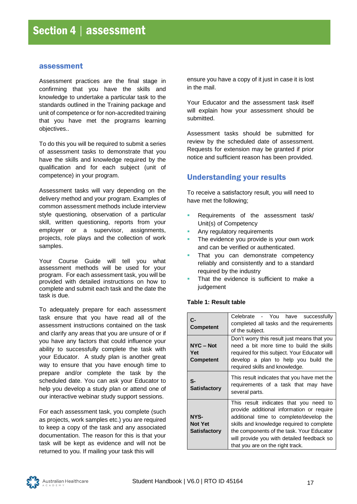#### <span id="page-20-0"></span>assessment

Assessment practices are the final stage in confirming that you have the skills and knowledge to undertake a particular task to the standards outlined in the Training package and unit of competence or for non-accredited training that you have met the programs learning objectives..

To do this you will be required to submit a series of assessment tasks to demonstrate that you have the skills and knowledge required by the qualification and for each subject (unit of competence) in your program.

Assessment tasks will vary depending on the delivery method and your program. Examples of common assessment methods include interview style questioning, observation of a particular skill, written questioning, reports from your employer or a supervisor, assignments, projects, role plays and the collection of work samples.

Your Course Guide will tell you what assessment methods will be used for your program. For each assessment task, you will be provided with detailed instructions on how to complete and submit each task and the date the task is due.

To adequately prepare for each assessment task ensure that you have read all of the assessment instructions contained on the task and clarify any areas that you are unsure of or if you have any factors that could influence your ability to successfully complete the task with your Educator. A study plan is another great way to ensure that you have enough time to prepare and/or complete the task by the scheduled date. You can ask your Educator to help you develop a study plan or attend one of our interactive webinar study support sessions.

For each assessment task, you complete (such as projects, work samples etc.) you are required to keep a copy of the task and any associated documentation. The reason for this is that your task will be kept as evidence and will not be returned to you. If mailing your task this will

ensure you have a copy of it just in case it is lost in the mail.

Your Educator and the assessment task itself will explain how your assessment should be submitted.

Assessment tasks should be submitted for review by the scheduled date of assessment. Requests for extension may be granted if prior notice and sufficient reason has been provided.

# <span id="page-20-1"></span>Understanding your results

To receive a satisfactory result, you will need to have met the following;

- Requirements of the assessment task/ Unit(s) of Competency
- Any regulatory requirements
- The evidence you provide is your own work and can be verified or authenticated.
- That you can demonstrate competency reliably and consistently and to a standard required by the industry
- That the evidence is sufficient to make a judgement

#### **Table 1: Result table**

| $C -$<br><b>Competent</b>                     | Celebrate - You have successfully<br>completed all tasks and the requirements<br>of the subject.                                                                                                                                                                                                           |
|-----------------------------------------------|------------------------------------------------------------------------------------------------------------------------------------------------------------------------------------------------------------------------------------------------------------------------------------------------------------|
| $NYC - Not$<br>Yet<br><b>Competent</b>        | Don't worry this result just means that you<br>need a bit more time to build the skills<br>required for this subject. Your Educator will<br>develop a plan to help you build the<br>required skills and knowledge.                                                                                         |
| S-<br><b>Satisfactory</b>                     | This result indicates that you have met the<br>requirements of a task that may have<br>several parts.                                                                                                                                                                                                      |
| NYS-<br><b>Not Yet</b><br><b>Satisfactory</b> | This result indicates that you need to<br>provide additional information or require<br>additional time to complete/develop the<br>skills and knowledge required to complete<br>the components of the task. Your Educator<br>will provide you with detailed feedback so<br>that you are on the right track. |

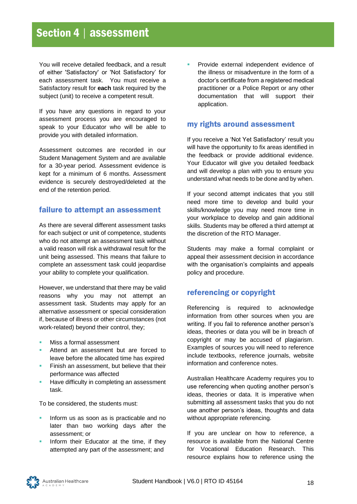# Section 4 | assessment

You will receive detailed feedback, and a result of either 'Satisfactory' or 'Not Satisfactory' for each assessment task. You must receive a Satisfactory result for **each** task required by the subject (unit) to receive a competent result.

If you have any questions in regard to your assessment process you are encouraged to speak to your Educator who will be able to provide you with detailed information.

Assessment outcomes are recorded in our Student Management System and are available for a 30-year period. Assessment evidence is kept for a minimum of 6 months. Assessment evidence is securely destroyed/deleted at the end of the retention period.

# <span id="page-21-0"></span>failure to attempt an assessment

As there are several different assessment tasks for each subject or unit of competence, students who do not attempt an assessment task without a valid reason will risk a withdrawal result for the unit being assessed. This means that failure to complete an assessment task could jeopardise your ability to complete your qualification.

However, we understand that there may be valid reasons why you may not attempt an assessment task. Students may apply for an alternative assessment or special consideration if, because of illness or other circumstances (not work-related) beyond their control, they;

- Miss a formal assessment
- Attend an assessment but are forced to leave before the allocated time has expired
- **EXECT** Finish an assessment, but believe that their performance was affected
- Have difficulty in completing an assessment task.

To be considered, the students must:

- **·** Inform us as soon as is practicable and no later than two working days after the assessment; or
- Inform their Educator at the time, if they attempted any part of the assessment; and

Provide external independent evidence of the illness or misadventure in the form of a doctor's certificate from a registered medical practitioner or a Police Report or any other documentation that will support their application.

# <span id="page-21-1"></span>my rights around assessment

If you receive a 'Not Yet Satisfactory' result you will have the opportunity to fix areas identified in the feedback or provide additional evidence. Your Educator will give you detailed feedback and will develop a plan with you to ensure you understand what needs to be done and by when.

If your second attempt indicates that you still need more time to develop and build your skills/knowledge you may need more time in your workplace to develop and gain additional skills. Students may be offered a third attempt at the discretion of the RTO Manager.

Students may make a formal complaint or appeal their assessment decision in accordance with the organisation's complaints and appeals policy and procedure.

# <span id="page-21-2"></span>referencing or copyright

Referencing is required to acknowledge information from other sources when you are writing. If you fail to reference another person's ideas, theories or data you will be in breach of copyright or may be accused of plagiarism. Examples of sources you will need to reference include textbooks, reference journals, website information and conference notes.

Australian Healthcare Academy requires you to use referencing when quoting another person's ideas, theories or data. It is imperative when submitting all assessment tasks that you do not use another person's ideas, thoughts and data without appropriate referencing.

If you are unclear on how to reference, a resource is available from the National Centre for Vocational Education Research. This resource explains how to reference using the

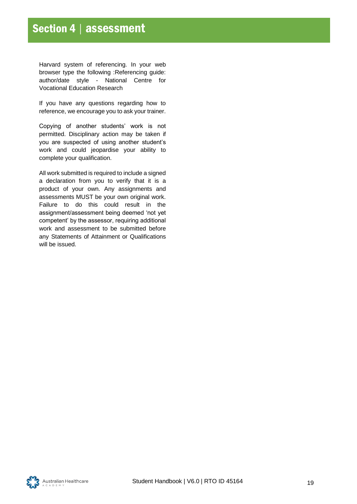Harvard system of referencing. In your web browser type the following :Referencing guide: author/date style - National Centre for Vocational Education Research

If you have any questions regarding how to reference, we encourage you to ask your trainer.

Copying of another students' work is not permitted. Disciplinary action may be taken if you are suspected of using another student's work and could jeopardise your ability to complete your qualification.

All work submitted is required to include a signed a declaration from you to verify that it is a product of your own. Any assignments and assessments MUST be your own original work. Failure to do this could result in the assignment/assessment being deemed 'not yet competent' by the assessor, requiring additional work and assessment to be submitted before any Statements of Attainment or Qualifications will be issued.

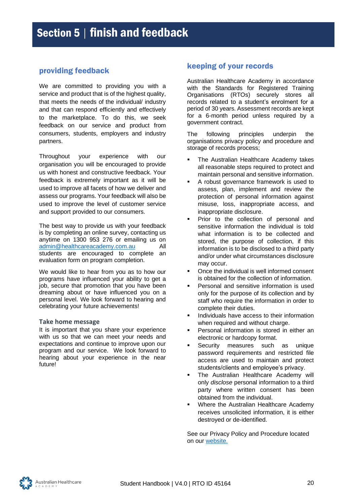# <span id="page-23-0"></span>providing feedback

We are committed to providing you with a service and product that is of the highest quality, that meets the needs of the individual/ industry and that can respond efficiently and effectively to the marketplace. To do this, we seek feedback on our service and product from consumers, students, employers and industry partners.

Throughout your experience with our organisation you will be encouraged to provide us with honest and constructive feedback. Your feedback is extremely important as it will be used to improve all facets of how we deliver and assess our programs. Your feedback will also be used to improve the level of customer service and support provided to our consumers.

The best way to provide us with your feedback is by completing an online survey, contacting us anytime on 1300 953 276 or emailing us on [admin@healthcareacademy.com.au](mailto:admin@healthcareacademy.com.au) All students are encouraged to complete an evaluation form on program completion.

We would like to hear from you as to how our programs have influenced your ability to get a job, secure that promotion that you have been dreaming about or have influenced you on a personal level. We look forward to hearing and celebrating your future achievements!

#### **Take home message**

It is important that you share your experience with us so that we can meet your needs and expectations and continue to improve upon our program and our service. We look forward to hearing about your experience in the near future!

# <span id="page-23-1"></span>keeping of your records

Australian Healthcare Academy in accordance with the Standards for Registered Training Organisations (RTOs) securely stores all records related to a student's enrolment for a period of 30 years. Assessment records are kept for a 6-month period unless required by a government contract.

The following principles underpin the organisations privacy policy and procedure and storage of records process;

- The Australian Healthcare Academy takes all reasonable steps required to protect and maintain personal and sensitive information.
- A robust governance framework is used to assess, plan, implement and review the protection of personal information against misuse, loss, inappropriate access, and inappropriate disclosure.
- Prior to the collection of personal and sensitive information the individual is told what information is to be collected and stored, the purpose of collection, if this information is to be disclosed to a third party and/or under what circumstances disclosure may occur.
- Once the individual is well informed consent is obtained for the collection of information.
- Personal and sensitive information is used only for the purpose of its collection and by staff who require the information in order to complete their duties.
- Individuals have access to their information when required and without charge.
- **•** Personal information is stored in either an electronic or hardcopy format.
- Security measures such as unique password requirements and restricted file access are used to maintain and protect students/clients and employee's privacy.
- The Australian Healthcare Academy will only *disclose* personal information to a third party where written consent has been obtained from the individual.
- Where the Australian Healthcare Academy receives unsolicited information, it is either destroyed or de-identified.

See our Privacy Policy and Procedure located on our [website.](http://www.healthcareacademy.com.au/)